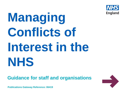

# **Managing Conflicts of Interest in the NHS**

**Guidance for staff and organisations**



**Publications Gateway Reference: 06419**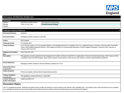

| NHS England INFORMATION READER BOX                  |                                                                                                                                                                                                                                                                                                                                         |                                                            |  |
|-----------------------------------------------------|-----------------------------------------------------------------------------------------------------------------------------------------------------------------------------------------------------------------------------------------------------------------------------------------------------------------------------------------|------------------------------------------------------------|--|
| <b>Directorate</b><br>Medical<br>Nursing<br>Finance | Operations and Information<br>Trans. & Corp. Ops.                                                                                                                                                                                                                                                                                       | Specialised Commissioning<br><b>Commissioning Strategy</b> |  |
| <b>Publications Gateway Reference:</b>              |                                                                                                                                                                                                                                                                                                                                         | 0                                                          |  |
| <b>Document Purpose</b>                             | Guidance                                                                                                                                                                                                                                                                                                                                |                                                            |  |
| <b>Document Name</b>                                | Managing Conflicts of Interest in the NHS                                                                                                                                                                                                                                                                                               |                                                            |  |
| Author                                              | <b>NHS England</b>                                                                                                                                                                                                                                                                                                                      |                                                            |  |
| <b>Publication Date</b>                             | 07 February 2017                                                                                                                                                                                                                                                                                                                        |                                                            |  |
| <b>Target Audience</b>                              | CCG Clinical Leaders, CCG Accountable Officers, CSU Managing Directors, Foundation Trust CEs, Medical Directors, Directors of Nursing, NHS Trust Board<br>Chairs, NHS England Regional Directors, NHS England Directors of Commissioning Operations, All NHS England Employees, Directors of HR, Directors of<br>Finance, NHS Trust CEs |                                                            |  |
| <b>Additional Circulation</b><br>List               | Care Trust CEs, GPs                                                                                                                                                                                                                                                                                                                     |                                                            |  |
| <b>Description</b>                                  | This guidance provides guidance for the management of conflicts of interest in the NHS. It is applicable to Clinical Commissioning Groups, NHS Trusts and NHS<br>Foundation Trusts and NHS England. Other bodies involved in the provision of NHS services are invited to consider implementing this guidance.                          |                                                            |  |
| <b>Cross Reference</b>                              | Managing Conflicts of Interest: Revised Statutory Guidance for CCGs                                                                                                                                                                                                                                                                     |                                                            |  |
| <b>Superseded Docs</b><br>(if applicable)           |                                                                                                                                                                                                                                                                                                                                         |                                                            |  |
| <b>Action Required</b>                              | Review and update existing relevant organisational policies.                                                                                                                                                                                                                                                                            |                                                            |  |
| <b>Timing / Deadlines</b><br>(if applicable)        | This guidance comes into force 1 June 2017                                                                                                                                                                                                                                                                                              |                                                            |  |
| <b>Contact Details for</b><br>further information   | england.psu@nhs.net                                                                                                                                                                                                                                                                                                                     |                                                            |  |
| <b>Document Status</b>                              |                                                                                                                                                                                                                                                                                                                                         |                                                            |  |

This is a controlled document. Whilst this document may be printed, the electronic version posted on the intranet is the controlled copy. Any printed copies of this document are not controlled. As a controlled document, this document should not be saved onto local or network drives but should always be accessed from the intranet.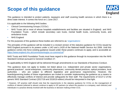### **Scope of this guidance**



This guidance is intended to protect patients, taxpayers and staff covering health services in which there is a direct state interest. It comes into force on 1 June 2017.

It is applicable to the following NHS bodies:

- Clinical Commissioning Groups ('CCGs')
- NHS Trusts (all or most of whose hospitals establishments and facilities are situated in England) and NHS Foundation Trusts - which include secondary care trusts, mental health trusts, community trusts, and ambulance trusts
- NHS England

For the purposes of this guidance these bodies are referred to as 'organisations'.

The principles of this guidance will be included in a revised version of the statutory guidance for CCGs issued by NHS England pursuant to its powers under s.14O and s.14Z8 of the National Health Service Act 2006. Until this guidance comes into force existing guidance issued under these powers continues to apply, and is accessible at: [https://www.england.nhs.uk/commissioning/pc-co-comms/coi/"](https://www.england.nhs.uk/commissioning/pc-co-comms/coi/)

NHS Trusts and NHS Foundation Trusts must have regard to this guidance through its incorporation into the NHS Standard Contract pursuant to General Condition 27.

Its applicability to NHS England will be delivered through amendments to our Standards of Business Conduct.

This guidance does not apply to bodies not listed above (i.e. independent and private sector organisations, general practices\*, social enterprises, community pharmacies, community dental practices, optical providers, local authorities – who are subject to different legislative and governance requirements). However, the boards/governing bodies of these organisations are invited to consider implementing the guidance as a means to effectively manage conflicts of interest and provide safeguards for their staff. The requirements of GC27.2 of the generic NHS Standard Contract (2017/18 and 2018/19 edition) should be interpreted in that light.

\* However, GP practice staff should note that the requirements in the statutory guidance for CCGs on the management of conflicts of interest (referred to above) continue to apply to GP partners (or where the practice is a company, each director) and individuals in a practice directly involved with the business or decision making of their CCG.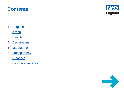



- [Purpose](#page-4-0)
- [Action](#page-5-0)
- [Definitions](#page-6-0)
- [Declarations](#page-8-0)
- [Management](#page-9-0)
- [Transparency](#page-26-0)
- [Breaches](#page-27-0)
- [Resource annexes](#page-28-0)

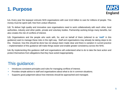<span id="page-4-0"></span>



**1.1.** Every year the taxpayer entrusts NHS organisations with over £110 billion to care for millions of people. This money must be spent well, free from undue influence.

**1.2.** To deliver high quality and innovative care organisations need to work collaboratively with each other, local authorities, industry and other public, private and voluntary bodies. Partnership working brings many benefits, but also creates the risk of conflicts of interest.

**1.3.** Organisations and the people who work with, for, and on behalf of them (referred to as **'staff'** in this guidance) want to manage these risks in the right way. Staff and organisations may already be taking steps to do this. However, how this should be done has not always been made clear and there is variation in current practice – implementation of this guidance will make things easier and enable greater consistency across the NHS.

**1.4.** By implementing this guidance staff and organisations will understand what to do to take the best action and protect themselves from allegations that they have acted inappropriately.

#### This guidance:

- Introduces consistent principles and rules for managing conflicts of interest.
- Provides simple advice to staff and organisations about what to do in common situations.
- Supports good judgement about how interests should be approached and managed.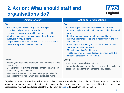#### <span id="page-5-0"></span>**2. Action: What should staff and organisations do?**



| <b>Action for staff</b>                                                                                                                                                                                                                                                                                                                                                    | <b>Action for organisations</b>                                                                                                                                                                                                                                                                                                                                                                                                                                                                                                                          |
|----------------------------------------------------------------------------------------------------------------------------------------------------------------------------------------------------------------------------------------------------------------------------------------------------------------------------------------------------------------------------|----------------------------------------------------------------------------------------------------------------------------------------------------------------------------------------------------------------------------------------------------------------------------------------------------------------------------------------------------------------------------------------------------------------------------------------------------------------------------------------------------------------------------------------------------------|
| <b>DO</b><br>• Familiarise yourself with this guidance and your<br>organisational policies and follow them.<br>• Use your common sense and judgement to consider<br>whether the interests you have could affect the way<br>taxpayers' money is spent.<br>Regularly consider what interests you have and declare<br>$\bullet$<br>these as they arise. If in doubt, declare. | <b>DO</b><br>Ensure that you have clear and well communicated<br>$\bullet$<br>processes in place to help staff understand what they need<br>to do.<br>Identify a team or individual with responsibility for:<br>$\bullet$<br>- Reviewing current policies and bringing them in line with<br>this guidance.<br>- Providing advice, training and support for staff on how<br>interests should be managed.<br>- Maintaining register(s) of interests.<br>- Auditing policy, process and procedures relating to this<br>guidance at least every three years. |
| <b>DON'T</b><br>• Misuse your position to further your own interests or those<br>close to you.<br>Be influenced, or give the impression that you have been<br>$\bullet$<br>influenced by, outside interests.<br>Allow outside interests you have to inappropriately affect<br>$\bullet$<br>the decisions you make when using taxpayers' money.                             | <b>DON'T</b><br>• Avoid managing conflicts of interest.<br>Interpret and deploy this guidance in a way which stifles the<br>collaboration and innovation that the NHS needs.                                                                                                                                                                                                                                                                                                                                                                             |

Organisations should ensure their policies as a minimum meet the standards in this guidance. They can also introduce local requirements that are more stringent, on the basis of their own circumstances, should they think this is necessary. Organisations may wish to adopt or adapt the Model Policy at [Annex](#page-28-0) [A](#page-28-0) to assist with implementation.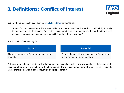### <span id="page-6-0"></span>**3. Definitions: Conflict of interest**



**3.1.** For the purposes of this quidance a 'conflict of interest' is defined as:

"A set of circumstances by which a reasonable person would consider that an individual's ability to apply judgement or act, in the context of delivering, commissioning, or assuring taxpayer funded health and care services is, or could be, impaired or influenced by another interest they hold."

#### **3.2.** A conflict of interest may be:



**3.3.** Staff may hold interests for which they cannot see potential conflict. However, caution is always advisable because others may see it differently. It will be important to exercise judgement and to declare such interests where there is otherwise a risk of imputation of improper conduct.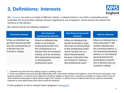### **3. Definitions: Interests**



**3.4.** 'Interests' can arise in a number of different contexts. A material interest is one which a reasonable person would take into account when making a decision regarding the use of taxpayers' money because the interest has relevance to that decision.

**3.5.** Interests fall into the following categories:

| Where an individual may<br>Where an individual may<br>Where an individual may<br>get direct financial benefit*<br>benefit* personally in ways<br>close association** with<br>obtain a non-financial<br>which are not directly linked<br>from the consequences of<br>another individual who<br>professional benefit* from<br>a decision they are<br>to their professional career<br>the consequences of a<br>involved in making<br>decision they are involved in<br>and do not give rise to a<br>making, such as increasing<br>direct financial benefit,<br>their professional reputation<br>personal interest who<br>because of decisions they<br>would stand to benefit*<br>are involved in making in<br>or promoting their | <b>Financial interests</b> | <b>Non-financial</b><br>professional interests | <b>Non-financial personal</b><br><b>interests</b> | <b>Indirect interests</b>                                                                                                                         |
|------------------------------------------------------------------------------------------------------------------------------------------------------------------------------------------------------------------------------------------------------------------------------------------------------------------------------------------------------------------------------------------------------------------------------------------------------------------------------------------------------------------------------------------------------------------------------------------------------------------------------------------------------------------------------------------------------------------------------|----------------------------|------------------------------------------------|---------------------------------------------------|---------------------------------------------------------------------------------------------------------------------------------------------------|
| their professional career<br>professional career<br>involved in making                                                                                                                                                                                                                                                                                                                                                                                                                                                                                                                                                                                                                                                       |                            |                                                |                                                   | Where an individual has a<br>has a financial interest, a<br>non-financial professional<br>interest or a non-financial<br>from a decision they are |

\* A benefit may arise from the making of gain or avoiding a loss

\*\* These associations may arise through relationships with close family members and relatives, close friends and associates, and business partners. A common sense approach should be applied to these terms. It would be unrealistic to expect staff to know of all the interests that people in these classes might hold. However, if staff do know of material interests (or could be reasonably expected to know about these) then these should be declared.

Further guidance on how to interpret these categories is at [Annex B.](#page-28-0)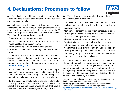#### <span id="page-8-0"></span>**4. Declarations: Processes to follow**



**4.1.** Organisations should support staff to understand that having interests is not in itself negative, but not declaring and managing them is.

**4.2.** All staff must be aware of how and to whom declarations should be made, declaring material interests at the earliest opportunity (and in any event within 28 days) via a positive declaration to their organisation. Therefore, declarations should be made:

- On appointment with an organisation
- When a person moves to a new role or their responsibilities change significantly
- At the beginning of a new project/piece of work
- As soon as circumstances change and new interests arise

**4.3.** Some staff are more likely than others to have a decision making influence on the use of taxpayers' money, because of the requirements of their role. For the purposes of this guidance these people are referred to as **'decision making staff'**.

**4.4.** Because of their influence in the spending of taxpayers' money, organisations should ensure that, at least annually, decision making staff are prompted to update their declarations of interest, or make a nil return.

**4.5.** Organisations should define decision making staff according to their own context, but this should be justifiable and capture those groups of staff that have a material influence on how taxpayers' money is spent.

**4.6.** The following non-exhaustive list describes who these individuals are likely to be:

- Executive and non executive directors\* who have decision making roles which involve the spending of taxpayers' money
- Members of advisory groups which contribute to direct or delegated decision making on the commissioning or provision of taxpayer funded services
- Those at Agenda for Change band 8d\*\* and above
- Administrative and clinical staff who have the power to enter into contracts on behalf of their organisation
- Administrative and clinical staff involved in decision making concerning the commissioning of services, purchasing of good, medicines, medical devices or equipment, and formulary decisions.

**4.7.** There may be occasions where staff declare an interest but, upon closer consideration, it is clear that this is not material and so does not give rise to the risk of a conflict of interest. The team or individual responsible for managing organisational policy should decide whether it is necessary to transfer such declarations to an organisation's register(s) of interests.

<sup>\*</sup> equivalent roles in different organisations carry different titles – this should be considered on a case by case basis

<sup>\*\*</sup> reflecting guidance issued by the Information Commissioner's Office with regard to Freedom of Information legislation: [https://ico.org.uk/media/1220/definition-document-health-bodies-in](https://ico.org.uk/media/1220/definition-document-health-bodies-in-england.pdf)[england.pdf](https://ico.org.uk/media/1220/definition-document-health-bodies-in-england.pdf) 9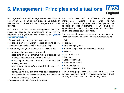#### <span id="page-9-0"></span>**NHS 5. Management: Principles and situations England**

**5.1.** Organisations should manage interests sensibly and proportionately. If an interest presents an actual or potential conflict of interest then management action is required.

**5.2.** Some common sense management principles should be adopted by organisations which, for the purposes of this guidance, are referred to as 'general management actions':

- Requiring staff to comply with this guidance
- Requiring staff to proactively declare interests at the point they become involved in decision making
- Considering a range of actions, which may include:
	- deciding that no action is warranted
	- restricting an individual's involvement in discussions and excluding them from decision making
	- removing an individual from the whole decision making process
	- removing an individual's responsibility for an entire area of work
	- removing an individual from their role altogether if the conflict is so significant that they are unable to operate effectively in the role
- Keeping an audit trail of the actions taken

**5.3.** Each case will be different. The general management actions, along with relevant industry/professional guidance, should complement the exercise of good judgement. It will always be appropriate to clarify circumstances with individuals involved to assess issues and risks.

**5.4.** However, there are a number of common situations which can give rise to risk of conflicts of interest, being:

- Gifts
- Hospitality
- Outside employment
- Shareholdings and other ownership interests
- Patents
- Loyalty interests
- Donations
- Sponsored events
- Sponsored research
- Sponsored posts
- Clinical private practice

The following pages discuss the risks and issues posed in these situations, and the principles and rules that staff and organisations should adopt to manage them.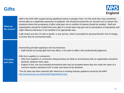#### **Gifts**



| <b>What are</b><br>the issues? | Staff in the NHS offer support during significant events in people's lives. For this work they may sometimes<br>receive gifts as a legitimate expression of gratitude. We should be proud that our services are so valued. But<br>situations where the acceptance of gifts could give rise to conflicts of interest should be avoided. Staff and<br>organisations should be mindful that even gifts of a small value may give rise to perceptions of impropriety and<br>might influence behaviour if not handled in an appropriate way.<br>A gift means any item of cash or goods, or any service, which is provided for personal benefit, free of charge,<br>or at less than its commercial value.            |
|--------------------------------|----------------------------------------------------------------------------------------------------------------------------------------------------------------------------------------------------------------------------------------------------------------------------------------------------------------------------------------------------------------------------------------------------------------------------------------------------------------------------------------------------------------------------------------------------------------------------------------------------------------------------------------------------------------------------------------------------------------|
| <b>Principles</b><br>and rules | Overarching principle applying in all circumstances:<br>• Staff should not accept gifts that may affect, or be seen to affect, their professional judgement.<br>Gifts from suppliers or contractors:<br>Gifts from suppliers or contractors doing business (or likely to do business) with an organisation should be<br>declined, whatever their value.<br>Subject to this, low cost branded promotional aids may be accepted where they are under the value of a<br>common industry standard of £6 <sup>*</sup> in total, and need not be declared.<br>*The £6 value has been selected with reference to existing industry guidance issued by the ABPI:<br>http://www.pmcpa.org.uk/thecode/Pages/default.aspx |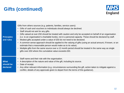### **Gifts (continued)**



| <b>Principles</b><br>and rules       | Gifts from others sources (e.g. patients, families, service users):<br>• Gifts of cash and vouchers to individuals should always be declined.<br>• Staff should not ask for any gifts.<br>Gifts valued at over £50 should be treated with caution and only be accepted on behalf of an organisation<br>$\bullet$<br>(i.e. to an organisation's charitable funds), not in a personal capacity. These should be declared by staff.<br>Modest gifts accepted under a value of £50 do not need to be declared.<br>$\bullet$<br>• A common sense approach should be applied to the valuing of gifts (using an actual amount, if known, or an<br>estimate that a reasonable person would make as to its value).<br>Multiple gifts from the same source over a 12 month period should be treated in the same way as single<br>$\bullet$<br>gifts over £50 where the cumulative value exceeds £50. |
|--------------------------------------|--------------------------------------------------------------------------------------------------------------------------------------------------------------------------------------------------------------------------------------------------------------------------------------------------------------------------------------------------------------------------------------------------------------------------------------------------------------------------------------------------------------------------------------------------------------------------------------------------------------------------------------------------------------------------------------------------------------------------------------------------------------------------------------------------------------------------------------------------------------------------------------------|
| <b>What</b><br>should be<br>declared | • Staff name and their role with the organisation.<br>• A description of the nature and value of the gift, including its source.<br>• Date of receipt.<br>Any other relevant information (e.g. circumstances surrounding the gift, action taken to mitigate against a<br>$\bullet$<br>conflict, details of any approvals given to depart from the terms of this guidance).                                                                                                                                                                                                                                                                                                                                                                                                                                                                                                                 |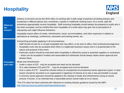### **Hospitality**



| <b>What are</b><br>the<br>issues? | Delivery of services across the NHS relies on working with a wide range of partners (including industry and<br>academia) in different places and, sometimes, outside of 'traditional' working hours. As a result, staff will<br>sometimes appropriately receive hospitality. Staff receiving hospitality should always be prepared to justify why it<br>has been accepted, and be mindful that even hospitality of a small value may give rise to perceptions of<br>impropriety and might influence behaviour.<br>Hospitality means offers of meals, refreshments, travel, accommodation, and other expenses in relation to<br>attendance at meetings, conferences, education and training events, etc.                             |
|-----------------------------------|-------------------------------------------------------------------------------------------------------------------------------------------------------------------------------------------------------------------------------------------------------------------------------------------------------------------------------------------------------------------------------------------------------------------------------------------------------------------------------------------------------------------------------------------------------------------------------------------------------------------------------------------------------------------------------------------------------------------------------------|
|                                   | Overarching principles applying in all circumstances:<br>• Staff should not ask for or accept hospitality that may affect, or be seen to affect, their professional judgement.<br>Hospitality must only be accepted when there is a legitimate business reason and it is proportionate to the<br>nature and purpose of the event.<br>Particular caution should be exercised when hospitality is offered by actual or potential suppliers or contractors<br>- these can be accepted if modest and reasonable but individuals should always obtain senior approval and<br>declare these.                                                                                                                                              |
| <b>Principles</b><br>and rules    | Meals and refreshments:<br>• Under a value of £25 - may be accepted and need not be declared.<br>• Of a value between £25 and £75 <sup>*</sup> - may be accepted and must be declared.<br>Over a value of £75* - should be refused unless (in exceptional circumstances) senior approval is given. A clear<br>reason should be recorded on an organisation's register(s) of interest as to why it was permissible to accept.<br>• A common sense approach should be applied to the valuing of meals and refreshments (using an actual<br>amount, if known, or an estimate that a reasonable person would make as to its value).<br>*The £75 value has been selected with reference to existing industry guidance issued by the ABPI |
|                                   | http://www.pmcpa.org.uk/thecode/Pages/default.aspx                                                                                                                                                                                                                                                                                                                                                                                                                                                                                                                                                                                                                                                                                  |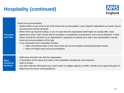### **Hospitality (continued)**



Travel and accommodation:

- Modest offers to pay some or all of the travel and accommodation costs related to attendance at events may be accepted and must be declared.
- **Principles and rules** • Offers which go beyond modest, or are of a type that the organisation itself might not usually offer, need approval by senior staff, should only be accepted in exceptional circumstances, and must be declared. A clear reason should be recorded on an organisation's register(s) of interest as to why it was permissible to accept travel and accommodation of this type.
	- A non exhaustive list of examples includes:
		- o offers of business class or first class travel and accommodation (including domestic travel).
		- o offers of foreign travel and accommodation.
- **What**  • Staff name and their role with the organisation. • A description of the nature and value of the hospitality including the circumstances.

#### **should be**  • Date of receipt.

**declared** • Any other relevant information (e.g. action taken to mitigate against a conflict, details of any approvals given to depart from the terms of this guidance).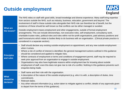### **Outside employment**



| <b>What are</b><br>the issues?       | The NHS relies on staff with good skills, broad knowledge and diverse experience. Many staff bring expertise<br>from sectors outside the NHS, such as industry, business, education, government and beyond. The<br>involvement of staff in these outside roles alongside their NHS role can therefore be of benefit, but the<br>existence of these should be well known so that conflicts can be either managed or avoided.<br>Outside employment means employment and other engagements, outside of formal employment<br>arrangements. This can include directorships, non-executive roles, self-employment, consultancy work,<br>charitable trustee roles, political roles and roles within not-for-profit organisations, paid advisory positions and<br>paid honorariums which relate to bodies likely to do business with an organisation. (Clinical private practice is<br>considered in a separate section). |
|--------------------------------------|--------------------------------------------------------------------------------------------------------------------------------------------------------------------------------------------------------------------------------------------------------------------------------------------------------------------------------------------------------------------------------------------------------------------------------------------------------------------------------------------------------------------------------------------------------------------------------------------------------------------------------------------------------------------------------------------------------------------------------------------------------------------------------------------------------------------------------------------------------------------------------------------------------------------|
| <b>Principles</b><br>and rules       | • Staff should declare any existing outside employment on appointment, and any new outside employment<br>when it arises.<br>• Where a risk of conflict of interest is identified, the general management actions outlined in this guidance<br>should be considered and applied to mitigate risks.<br>• Where contracts of employment or terms and conditions of engagement permit, staff may be required to<br>seek prior approval from an organisation to engage in outside employment.<br>Organisations may also have legitimate reasons within employment law for knowing about outside<br>$\bullet$<br>employment of staff, even this does not give rise to risk of a conflict. Nothing in this guidance prevents such<br>enquiries being made.                                                                                                                                                                |
| <b>What</b><br>should be<br>declared | • Staff name and their role with the organisation.<br>A description of the nature of the outside employment (e.g. who it is with, a description of duties, time<br>$\bullet$<br>commitment).<br>• Relevant dates.<br>Any other relevant information (e.g. action taken to mitigate against a conflict, details of any approvals given<br>$\bullet$<br>to depart from the terms of this guidance).                                                                                                                                                                                                                                                                                                                                                                                                                                                                                                                  |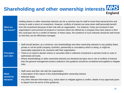#### **Shareholding and other ownership interests NHS England**

| <b>What are</b><br>the issues?       | Holding shares or other ownership interests can be a common way for staff to invest their personal time and<br>money to seek a return on investment. However, conflicts of interest can arise when staff personally benefit<br>from this investment because of their role with an organisation. For instance, if they are involved in their<br>organisation's procurement of products or services which are offered by a company they have shares in then<br>this could give rise to a conflict of interest. In these cases, the existence of such interests should be well known<br>so that they can be effectively managed.                                                         |
|--------------------------------------|---------------------------------------------------------------------------------------------------------------------------------------------------------------------------------------------------------------------------------------------------------------------------------------------------------------------------------------------------------------------------------------------------------------------------------------------------------------------------------------------------------------------------------------------------------------------------------------------------------------------------------------------------------------------------------------|
| <b>Principles</b><br>and rules       | • Staff should declare, as a minimum, any shareholdings and other ownership interests in any publicly listed,<br>private or not-for-profit company, business, partnership or consultancy which is doing, or might be<br>reasonably expected to do, business with their organisation.<br>• There is no need to declare shares or securities held in collective investment or pension funds or units of<br>authorised unit trusts.<br>Where shareholdings or other ownership interests are declared and give rise to risk of conflicts of interest<br>$\bullet$<br>then the general management actions outlined in this guidance should be considered and applied to mitigate<br>risks. |
| <b>What</b><br>should be<br>declared | Staff name and their role with the organisation.<br>$\bullet$<br>A description of the nature of the shareholding/other ownership interest.<br>• Relevant dates.<br>Any other relevant information (e.g. action taken to mitigate against a conflict, details of any approvals given<br>$\bullet$<br>to depart from the terms of this guidance).                                                                                                                                                                                                                                                                                                                                       |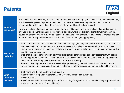#### **Patents**



| <b>What are</b><br>the issues?       | The development and holding of patents and other intellectual property rights allows staff to protect something<br>that they create, preventing unauthorised use of products or the copying of protected ideas. Staff are<br>encouraged to be innovative in their practice and therefore this activity is welcomed.<br>However, conflicts of interest can arise when staff who hold patents and other intellectual property rights are<br>involved in decision making and procurement. In addition, where product development involves use of time,<br>equipment or resources from their organisation, then this too could create risks of conflicts of interest, and it is<br>important that the organisation is aware of this and it can be managed appropriately.                                                                                                                                                         |
|--------------------------------------|------------------------------------------------------------------------------------------------------------------------------------------------------------------------------------------------------------------------------------------------------------------------------------------------------------------------------------------------------------------------------------------------------------------------------------------------------------------------------------------------------------------------------------------------------------------------------------------------------------------------------------------------------------------------------------------------------------------------------------------------------------------------------------------------------------------------------------------------------------------------------------------------------------------------------|
| <b>Principles</b><br>and rules       | • Staff should declare patents and other intellectual property rights they hold (either individually, or by virtue of<br>their association with a commercial or other organisation), including where applications to protect have<br>started or are ongoing, which are, or might be reasonably expected to be, related to items to be procured or<br>used by their organisation.<br>Staff should seek prior permission from their organisation before entering into any agreement with bodies<br>$\bullet$<br>regarding product development, research, work on pathways, etc, where this impacts on the organisation's<br>own time, or uses its equipment, resources or intellectual property.<br>• Where holding of patents and other intellectual property rights give rise to a conflict of interest then the<br>general management actions outlined in this guidance should be considered and applied to mitigate risks. |
| <b>What</b><br>should be<br>declared | • Staff name and their role with the organisation.<br>A description of the patent or other intellectual property right and its ownership.<br>• Relevant dates.<br>Any other relevant information (e.g. action taken to mitigate against a conflict, details of any approvals given<br>$\bullet$<br>to depart from the terms of this guidance).                                                                                                                                                                                                                                                                                                                                                                                                                                                                                                                                                                               |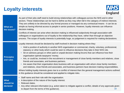### **Loyalty interests**



| <b>What are</b><br>the issues?       | As part of their jobs staff need to build strong relationships with colleagues across the NHS and in other<br>sectors. These relationships can be hard to define as they may often fall in the category of indirect interests.<br>They are unlikely to be directed by any formal process or managed via any contractual means - it can be as<br>simple as having informal access to people in senior positions. However, loyalty interests can influence<br>decision making.<br>Conflicts of interest can arise when decision making is influenced subjectively through association with<br>colleagues or organisations out of loyalty to the relationship they have, rather than through an objective<br>process. The scope of loyalty interests is potentially huge, so judgement is required for making declarations.                                                                                                                                                                                                                                          |
|--------------------------------------|-------------------------------------------------------------------------------------------------------------------------------------------------------------------------------------------------------------------------------------------------------------------------------------------------------------------------------------------------------------------------------------------------------------------------------------------------------------------------------------------------------------------------------------------------------------------------------------------------------------------------------------------------------------------------------------------------------------------------------------------------------------------------------------------------------------------------------------------------------------------------------------------------------------------------------------------------------------------------------------------------------------------------------------------------------------------|
| <b>Principles</b><br>and rules       | Loyalty interests should be declared by staff involved in decision making where they:<br>Hold a position of authority in another NHS organisation or commercial, charity, voluntary, professional,<br>$\bullet$<br>statutory or other body which could be seen to influence decisions they take in their NHS role.<br>Sit on advisory groups or other paid or unpaid decision making forums that can influence how their<br>$\bullet$<br>organisation spends taxpayers' money.<br>• Are, or could be, involved in the recruitment or management of close family members and relatives, close<br>friends and associates, and business partners.<br>• Are aware that their organisation does business with an organisation with whom close family members<br>and relatives, close friends and associates, and business partners have decision making responsibilities.<br>Where holding loyalty interests gives rise to a conflict of interest then the general management actions outlined<br>in this guidance should be considered and applied to mitigate risks. |
| <b>What</b><br>should be<br>declared | Staff name and their role with the organisation.<br>$\bullet$<br>A description of the nature of the loyalty interest.<br>• Relevant dates.<br>Any other relevant information (e.g. action taken to mitigate against a conflict, details of any approvals given<br>$\bullet$<br>to depart from the terms of this guidance).<br>18                                                                                                                                                                                                                                                                                                                                                                                                                                                                                                                                                                                                                                                                                                                                  |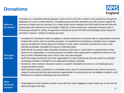#### **Donations**



| <b>What are</b><br>the issues?       | A donation is a charitable financial payment, which can be in the form of direct cash payment or through the<br>application of a will or similar directive. Charitable giving and other donations are often used to support the<br>provision of health and care services. As a major public sector employer the NHS holds formal and informal<br>partnerships with national and local charities. Staff will, in their private lives, undertake voluntary work or<br>fundraising activities for charity. A supportive environment across the NHS and charitable sector should be<br>promoted. However, conflicts of interest can arise.                                                                                                                                                                                                                                                                                                                                                                                                                                                                                                                                                                                                                                                                                                                                   |
|--------------------------------------|--------------------------------------------------------------------------------------------------------------------------------------------------------------------------------------------------------------------------------------------------------------------------------------------------------------------------------------------------------------------------------------------------------------------------------------------------------------------------------------------------------------------------------------------------------------------------------------------------------------------------------------------------------------------------------------------------------------------------------------------------------------------------------------------------------------------------------------------------------------------------------------------------------------------------------------------------------------------------------------------------------------------------------------------------------------------------------------------------------------------------------------------------------------------------------------------------------------------------------------------------------------------------------------------------------------------------------------------------------------------------|
| <b>Principles</b><br>and rules       | • Acceptance of donations made by suppliers or bodies seeking to do business with an organisation should be<br>treated with caution and not routinely accepted. In exceptional circumstances a donation from a supplier<br>may be accepted but should always be declared. A clear reason should be recorded as to why it was<br>deemed acceptable, alongside the actual or estimated value.<br>Staff should not actively solicit charitable donations unless this is a prescribed or expected part of their<br>duties for an organisation, or is being pursued on behalf of that organisation's registered charity (if it has<br>one) or other charitable body and is not for their own personal gain.<br>Staff must obtain permission from their organisation if in their professional role they intend to undertake<br>$\bullet$<br>fundraising activities on behalf of a pre-approved charitable campaign.<br>Donations, when received, should be made to a specific charitable fund (never to an individual) and a<br>$\bullet$<br>receipt should be issued.<br>Staff wishing to make a donation to a charitable fund in lieu of a professional fee they receive may do so,<br>$\bullet$<br>subject to ensuring that they take personal responsibility for ensuring that any tax liabilities related to such<br>donations are properly discharged and accounted for. |
| <b>What</b><br>should be<br>declared | Organisations should maintain records in line with their wider obligations under charity law, in line with the<br>$\bullet$<br>above principles and rules.<br>19                                                                                                                                                                                                                                                                                                                                                                                                                                                                                                                                                                                                                                                                                                                                                                                                                                                                                                                                                                                                                                                                                                                                                                                                         |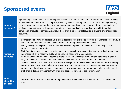#### **Sponsored events**



| <b>What are</b><br>the issues?       | Sponsorship of NHS events by external parties is valued. Offers to meet some or part of the costs of running<br>an event secures their ability to take place, benefiting NHS staff and patients. Without this funding there may<br>be fewer opportunities for learning, development and partnership working. However, there is potential for<br>conflicts of interest between the organiser and the sponsor, particularly regarding the ability to market<br>commercial products or services. As a result there should be proper safeguards in place to prevent conflicts<br>occurring.                                                                                                                                                                                                                                                                                                                                                                                                                                                                                                                                                                                                                                                                                |
|--------------------------------------|------------------------------------------------------------------------------------------------------------------------------------------------------------------------------------------------------------------------------------------------------------------------------------------------------------------------------------------------------------------------------------------------------------------------------------------------------------------------------------------------------------------------------------------------------------------------------------------------------------------------------------------------------------------------------------------------------------------------------------------------------------------------------------------------------------------------------------------------------------------------------------------------------------------------------------------------------------------------------------------------------------------------------------------------------------------------------------------------------------------------------------------------------------------------------------------------------------------------------------------------------------------------|
| <b>Principles</b><br>and rules       | Sponsorship of events by appropriate external bodies should only be approved if a reasonable person would<br>$\bullet$<br>conclude that the event will result in clear benefit for the organisation and the NHS.<br>During dealings with sponsors there must be no breach of patient or individual confidentiality or data<br>$\bullet$<br>protection rules and legislation.<br>No information should be supplied to the sponsor from which they could gain a commercial advantage, and<br>$\bullet$<br>information which is not in the public domain should not normally be supplied.<br>At an organisation's discretion, sponsors or their representatives may attend or take part in the event but<br>$\bullet$<br>they should not have a dominant influence over the content or the main purpose of the event.<br>The involvement of a sponsor in an event should always be clearly identified in the interest of transparency.<br>$\bullet$<br>Organisations should make it clear that sponsorship does not equate to endorsement of a company or its<br>products and this should be made visibly clear on any promotional or other materials relating to the event.<br>• Staff should declare involvement with arranging sponsored events to their organisation. |
| <b>What</b><br>should be<br>declared | Organisations should maintain records regarding sponsored events in line with the above principles and<br>rules.                                                                                                                                                                                                                                                                                                                                                                                                                                                                                                                                                                                                                                                                                                                                                                                                                                                                                                                                                                                                                                                                                                                                                       |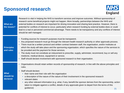#### **Sponsored research**



| <b>What are</b><br>the issues?       | Research is vital in helping the NHS to transform services and improve outcomes. Without sponsorship of<br>research some beneficial projects might not happen. More broadly, partnerships between the NHS and<br>external bodies on research are important for driving innovation and sharing best practice. However, there is<br>potential for conflicts of interest to occur, particularly when research funding by external bodies does or could<br>lead to a real or perceived commercial advantage. There needs to be transparency and any conflicts of interest<br>should be well managed.                                                                                                                                         |
|--------------------------------------|------------------------------------------------------------------------------------------------------------------------------------------------------------------------------------------------------------------------------------------------------------------------------------------------------------------------------------------------------------------------------------------------------------------------------------------------------------------------------------------------------------------------------------------------------------------------------------------------------------------------------------------------------------------------------------------------------------------------------------------|
| <b>Principles</b><br>and rules       | Funding sources for research purposes must be transparent.<br>$\bullet$<br>Any proposed research must go through the relevant health research authority or other approvals process.<br>There must be a written protocol and written contract between staff, the organisation, and/or institutes at<br>$\bullet$<br>which the study will take place and the sponsoring organisation, which specifies the nature of the services to<br>be provided and the payment for those services.<br>The study must not constitute an inducement to prescribe, supply, administer, recommend, buy or sell any<br>medicine, medical device, equipment or service.<br>• Staff should declare involvement with sponsored research to their organisation. |
| <b>What</b><br>should be<br>declared | Organisations should retain written records of sponsorship of research, in line with the above principles and<br>rules.<br>Staff should declare:<br>their name and their role with the organisation<br>$\bullet$<br>a description of the nature of the nature of their involvement in the sponsored research<br>relevant dates<br>$\bullet$<br>any other relevant information (e.g. what, if any, benefit the sponsor derives from the sponsorship, action<br>taken to mitigate against a conflict, details of any approvals given to depart from the terms of this<br>guidance)<br>21                                                                                                                                                   |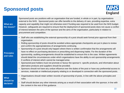#### **Sponsored posts**



| <b>What are</b><br>the issues?       | Sponsored posts are positions with an organisation that are funded, in whole or in part, by organisations<br>external to the NHS. Sponsored posts can offer benefits to the delivery of care, providing expertise, extra<br>capacity and capability that might not otherwise exist if funding was required to be used from the NHS budget.<br>However, safeguards are required to ensure that the deployment of sponsored posts does not cause a conflict<br>of interest between the aims of the sponsor and the aims of the organisation, particularly in relation to<br>procurement and competition.                                                                                                                                                                                                                                                                                                                                                                                                                                                                                                                                                                                                                                                      |
|--------------------------------------|-------------------------------------------------------------------------------------------------------------------------------------------------------------------------------------------------------------------------------------------------------------------------------------------------------------------------------------------------------------------------------------------------------------------------------------------------------------------------------------------------------------------------------------------------------------------------------------------------------------------------------------------------------------------------------------------------------------------------------------------------------------------------------------------------------------------------------------------------------------------------------------------------------------------------------------------------------------------------------------------------------------------------------------------------------------------------------------------------------------------------------------------------------------------------------------------------------------------------------------------------------------|
| <b>Principles</b><br>and rules       | Staff who are establishing the external sponsorship of a post should seek formal prior approval from their<br>$\bullet$<br>organisation.<br>Rolling sponsorship of posts should be avoided unless appropriate checkpoints are put in place to review<br>$\bullet$<br>and confirm the appropriateness of arrangements continuing.<br>Sponsorship of a post should only happen where there is written confirmation that the arrangements will<br>$\bullet$<br>have no effect on purchasing decisions or prescribing and dispensing habits. For the duration of the<br>sponsorship, auditing arrangements should be established to ensure this is the case. Written agreements<br>should detail the circumstances under which organisations have the ability to exit sponsorship arrangements<br>if conflicts of interest which cannot be managed arise.<br>Sponsored post holders must not promote or favour the sponsor's specific products, and information about<br>alternative products and suppliers should be provided.<br>Sponsors should not have any undue influence over the duties of the post or have any preferential access to<br>services, materials or intellectual property relating to or developed in connection with the sponsored posts. |
| <b>What</b><br>should be<br>declared | Organisations should retain written records of sponsorship of posts, in line with the above principles and<br>rules.<br>• Staff should declare any other interests arising as a result of their association with the sponsor, in line with<br>the content in the rest of this guidance.                                                                                                                                                                                                                                                                                                                                                                                                                                                                                                                                                                                                                                                                                                                                                                                                                                                                                                                                                                     |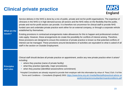#### **Clinical private practice**



| What are the<br>issues?        | Service delivery in the NHS is done by a mix of public, private and not-for-profit organisations. The expertise of<br>clinicians in the NHS is in high demand across all sectors and the NHS relies on the flexibility that the public,<br>private and not-for-profit sectors can provide. It is therefore not uncommon for clinical staff to provide NHS<br>funded care and undertake private practice work either for an external company, or through a corporate vehicle<br>established by themselves.<br>Existing provisions in contractual arrangements make allowances for this to happen and professional conduct<br>rules apply. However, these arrangements do create the possibility for conflicts of interest arising. Therefore,<br>these provisions are designed to ensure the existence of private practice is known so that potential conflicts of<br>interest can be managed. These provisions around declarations of activities are equivalent to what is asked of all<br>staff in the section on Outside Employment. |
|--------------------------------|----------------------------------------------------------------------------------------------------------------------------------------------------------------------------------------------------------------------------------------------------------------------------------------------------------------------------------------------------------------------------------------------------------------------------------------------------------------------------------------------------------------------------------------------------------------------------------------------------------------------------------------------------------------------------------------------------------------------------------------------------------------------------------------------------------------------------------------------------------------------------------------------------------------------------------------------------------------------------------------------------------------------------------------|
| <b>Principles</b><br>and rules | Clinical staff should declare all private practice on appointment, and/or any new private practice when it arises*<br>including:<br>• where they practise (name of private facility)<br>what they practise (specialty, major procedures).<br>$\bullet$<br>when they practise (identified sessions/time commitment)<br>$\bullet$<br>*Hospital Consultants are already required to provide their employer with this information by virtue of Para.3 Sch. 9 of the<br>Terms and Conditions - Consultants (England) 2003: https://www.bma.org.uk/-/media/files/pdfs/practical advice at<br>work/contracts/consultanttermsandconditions.pdf                                                                                                                                                                                                                                                                                                                                                                                                 |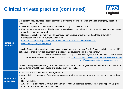### **Clinical private practice (continued)**



| this guidance should be considered and applied to mitigate risks.<br>• Staff name and their role with the organisation.<br>$\bullet$<br><b>What should</b><br>etc).<br>be declared<br>Relevant dates.<br>$\bullet$<br>Any other relevant information (e.g. action taken to mitigate against a conflict, details of any approvals given<br>$\bullet$ | <b>Principles</b><br>and rules | Clinical staff should (unless existing contractual provisions require otherwise or unless emergency treatment for<br>private patients is needed):<br>Seek prior approval of their organisation before taking up private practice.<br>$\bullet$<br>Ensure that, where there would otherwise be a conflict or potential conflict of interest, NHS commitments take<br>$\bullet$<br>precedence over private work.**<br>Not accept direct or indirect financial incentives from private providers other than those allowed by<br>$\bullet$<br>Competition and Markets Authority guidelines:<br>https://assets.publishing.service.gov.uk/media/542c1543e5274a1314000c56/Non-<br>Divestment_Order_amended.pdf<br>Hospital Consultants should not initiate discussions about providing their Private Professional Services for NHS<br>patients, nor should they ask other staff to initiate such discussions on his or her behalf.** |  |
|-----------------------------------------------------------------------------------------------------------------------------------------------------------------------------------------------------------------------------------------------------------------------------------------------------------------------------------------------------|--------------------------------|-------------------------------------------------------------------------------------------------------------------------------------------------------------------------------------------------------------------------------------------------------------------------------------------------------------------------------------------------------------------------------------------------------------------------------------------------------------------------------------------------------------------------------------------------------------------------------------------------------------------------------------------------------------------------------------------------------------------------------------------------------------------------------------------------------------------------------------------------------------------------------------------------------------------------------|--|
|                                                                                                                                                                                                                                                                                                                                                     |                                | ** These provisions already apply to Hospital Consultants by virtue of Paras.5 and 20, Sch. 9 of the<br>Terms and Conditions - Consultants (England) 2003: https://www.bma.org.uk/-/media/files/pdfs/practical advice at<br>work/contracts/consultanttermsandconditions.pdf<br>Where clinical private practice gives rise to a conflict of interest then the general management actions outlined in                                                                                                                                                                                                                                                                                                                                                                                                                                                                                                                           |  |
| 24                                                                                                                                                                                                                                                                                                                                                  |                                | A description of the nature of the private practice (e.g. what, where and when you practise, sessional activity,<br>to depart from the terms of this guidance).                                                                                                                                                                                                                                                                                                                                                                                                                                                                                                                                                                                                                                                                                                                                                               |  |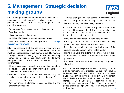### **5. Management: Strategic decision making groups**



**5.5.** Many organisations use boards (or committees and sub-committees of boards), advisory groups, and procurement panels to make key strategic decisions about things such as:

- Entering into (or renewing) large scale contracts
- Awarding grants
- Making procurement decisions
- Selection of medicines, equipment, and devices

These are referred to in this guidance as 'strategic decision making groups'.

**5.6.** It is important that the interests of those who are involved in these groups are well known to those involved. Organisations must therefore identify relevant strategic decision making groups and ensure they operate in a manner consistent with the following principles, which reflect wider standards of good governance:

- Chairs should consider any known interests of members in advance, and begin each meeting by asking for declaration of relevant interests
- Members should take personal responsibility for declaring material interests at the beginning of each meeting and as they arise
- Any new interests identified should be added to the organisation's register

• The vice chair (or other non-conflicted member) should chair all or part of the meeting if the chair has an interest that may prejudice their judgement

**5.7.** If a member has an actual or potential interest the chair should consider the following approaches and ensure that the reason for the chosen action is documented in minutes or records:

- Requiring the member to not attend the meeting
- Ensuring that the member does not receive meeting papers relating to the nature of their interest
- Requiring the member to not attend all or part of the discussion and decision on the related matter
- Noting the nature and extent of the interest, but judging it appropriate to allow the member to remain and participate
- Removing the member from the group or process altogether

25 **5.8.** The default response should not always be to exclude members with interests, as this may have a detrimental effect on the quality of the decision being made. An example is the need for clinical involvement, when clinicians may hold and represent a diversity of interests. Good judgement is required to ensure proportionate management of risk. The composition of groups should be kept under review to ensure effective participation.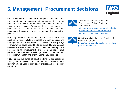### **5. Management: Procurement decisions**



**5.9.** Procurement should be managed in an open and transparent manner, compliant with procurement and other relevant law, to ensure there is no discrimination against or in favour of any provider. Procurement processes should be conducted in a manner that does not constitute anticompetitive behaviour - which is against the interest of patients.

**5.10.** Organisations should keep records that show a clear audit trail of how conflicts of interest have been identified and managed as part of procurement processes. At every stage of procurement steps should be taken to identify and manage conflicts of interest to ensure and to protect the integrity of the process. NHS Improvement and NHS England have published detailed and specific guidance on procurement processes which staff and organisations should consult.

**5.11.** For the avoidance of doubt, nothing in this section or this guidance waives or modifies any existing legal requirements relating to conflicts of interest and procurement decisions.



NHS Improvement Guidance on Procurement, Patient Choice and Competition: [https://www.gov.uk/government/publicatio](https://www.gov.uk/government/publications/procurement-patient-choice-and-competition-regulations-guidance) [ns/procurement-patient-choice-and](https://www.gov.uk/government/publications/procurement-patient-choice-and-competition-regulations-guidance)[competition-regulations-guidance](https://www.gov.uk/government/publications/procurement-patient-choice-and-competition-regulations-guidance)



NHS England Guidance on Conflicts of Interest for CCGs**:**  [https://www.england.nhs.uk/commissionin](https://www.england.nhs.uk/commissioning/wp-content/uploads/sites/12/2016/06/revsd-coi-guidance-june16.pdf) [g/pc-co-comms/coi/](https://www.england.nhs.uk/commissioning/pc-co-comms/coi/)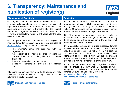#### <span id="page-26-0"></span>**6. Transparency: Maintenance and publication of register(s)**



#### **Maintenance of Register(s) Publication**

**6.1.** Organisations must ensure that a nominated team or individual collates and maintains up to date organisational register(s) of interests. An interest should remain on the register(s) for a minimum of 6 months after the interest has expired. Organisations should retain a private record of historic interests for a minimum of 6 years after the date on which it expired.

**6.2.** Template declaration of interests and register of interests forms for organisations to use are provided at [Annex C and D](#page-28-0). They should always contain:

- The returnee's name and their role with the organisation
- A description of the interest declared (reflecting the content of section 5 of this guidance for common situations)
- Relevant dates relating to the interest
- Space for comments (e.g. action taken to mitigate conflict)

**6.3.** Using the common format in the templates will help minimise burdens on staff who might need to submit returns to multiple organisations.



**6.4.** All staff should declare interests and, as a minimum, organisations should publish the interests of decision making staff at least annually in a prominent place on their website. Organisations without websites should maintain registers locally, available for inspection on request.

**6.5.** The format of published registers should be accessible and contain meaningful information. Adopting the templates and advice on content in this guidance will assist organisations in this task.

**6.6.** Organisations should put in place processes for staff to make representations that information on their interests should not be published. This will allow for, in exceptional circumstances, an individual's name and/or other information to be redacted from any publicly available registers where the public disclosure of information could give rise to a real risk of harm or is prohibited by law.

**6.7.** As well as taking these steps, organisations should seek to ensure that staff who are subject to wider transparency initiatives such as the ABPI Disclosure UK scheme are aware of and comply with them:

[http://www.abpi.org.uk/our](http://www.abpi.org.uk/our-work/disclosure/Pages/disclosure.aspx)[work/disclosure/Pages/disclosure.aspx](http://www.abpi.org.uk/our-work/disclosure/Pages/disclosure.aspx)



Declaration of interests template Register of interests template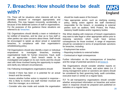#### <span id="page-27-0"></span>**7. Breaches: How should these be dealt with?**



**7.1.** There will be situations when interests will not be identified, declared or managed appropriately and effectively. This may happen innocently, accidentally, or because of the deliberate actions of staff or organisations. For the purposes of this guidance these situations are referred to as 'breaches'.

**7.2.** Organisations should identify a team or individual to be notified of breaches, and be clear as to how staff or other parties can raise concerns about these. Staff should be encouraged to speak up about actual or suspected breaches, in compliance with their organisation's whistleblowing policy.

**7.3** Organisations should also identify a team or individual empowered to investigate breaches, involving organisational leads for human resources, fraud, audit etc. as appropriate. Each breach needs to be investigated and judged on its own merits and this should start with those involved having the opportunity to explain and clarify any relevant circumstances.

**7.4.** Following investigations organisations should:

- Decide if there has been or is potential for an actual breach and the severity
- Assess whether further action is required in response this is likely to involve any staff member involved and their line manager, as a minimum
- Consider who else inside and outside the organisation

should be made aware of the breach

• Take appropriate action, such as clarifying existing policy, taking action against the staff member(s) responsible for the breach, or escalating to external parties such as auditors, NHS Protect, the Police, statutory health bodies and/or regulatory bodies

**7.5.** When dealing with instances of breach organisations may want to take legal or other appropriate advice prior to imposing sanctions which could have serious consequences for those involved. A range of responses should be considered in terms of proportionate sanctions for breaches, including:

- Employment law action
- Reporting incidents to external bodies
- Contractual or legal consequences

Further information on the consequences of breaches and the range of potential sanctions is at [Annex E](#page-28-0).

**7.6.** Organisations should consider whether reports on breaches, the impact of these, and action taken (i.e. if strong management action or sanctions are taken) should be considered by their governing body, audit committee, executive team or similar on a regular basis.

**7.7**. To aid transparency organisations should consider whether anonymised information on breaches and action taken in response should be prepared and published on websites on a regular basis.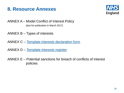#### <span id="page-28-0"></span>**8. Resource Annexes**



ANNEX A – Model Conflict of Interest Policy [due for publication in March 2017]

- ANNEX B Types of interests
- ANNEX C – [Template interests declaration form](https://www.england.nhs.uk/coi/)
- ANNEX D – [Template interests register](https://www.england.nhs.uk/coi/)
- ANNEX E Potential sanctions for breach of conflicts of interest policies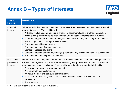### **Annex B – Types of interests**



| <b>Type of</b><br>interest                 | <b>Description</b>                                                                                                                                                                                                                                                                                                                                                                                                                                                                                                                                                                                                                                                                                                                                                                                                                    |
|--------------------------------------------|---------------------------------------------------------------------------------------------------------------------------------------------------------------------------------------------------------------------------------------------------------------------------------------------------------------------------------------------------------------------------------------------------------------------------------------------------------------------------------------------------------------------------------------------------------------------------------------------------------------------------------------------------------------------------------------------------------------------------------------------------------------------------------------------------------------------------------------|
| Financial<br>interests                     | Where an individual may get direct financial benefits* from the consequences of a decision their<br>organisation makes. This could include:<br>A director (including a non-executive director) or senior employee in another organisation<br>which is doing, or is likely to do business with an organisation in receipt of NHS funding<br>A shareholder, partner or owner of an organisation which is doing, or is likely to do business<br>$\bullet$<br>with an organisation in receipt of NHS funding<br>Someone in outside employment<br>$\bullet$<br>Someone in receipt of secondary income.<br>$\bullet$<br>Someone in receipt of a grant.<br>$\bullet$<br>Someone in receipt of other payments (e.g. honoraria, day allowances, travel or subsistence).<br>$\bullet$<br>Someone in receipt of sponsored research.<br>$\bullet$ |
| Non-financial<br>professional<br>interests | Where an individual may obtain a non-financial professional benefit* from the consequences of a<br>decision their organisation makes, such as increasing their professional reputation or status or<br>promoting their professional career. This could include situations where the individual is:<br>An advocate for a particular group of patients.<br>A clinician with a special interest.<br>$\bullet$<br>An active member of a particular specialist body.<br>$\bullet$<br>An advisor for the Care Quality Commission or National Institute of Health and Care<br>$\bullet$<br>Excellence.<br>A research role.                                                                                                                                                                                                                   |

\* A benefit may arise from the making of gain or avoiding a loss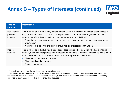## **Annex B – Types of interests (continued)**



| <b>Type of</b><br>interest             | <b>Description</b>                                                                                                                                                                                                                                                                                                                                                                                                                                                                         |
|----------------------------------------|--------------------------------------------------------------------------------------------------------------------------------------------------------------------------------------------------------------------------------------------------------------------------------------------------------------------------------------------------------------------------------------------------------------------------------------------------------------------------------------------|
| Non-financial<br>personal<br>interests | This is where an individual may benefit* personally from a decision their organisation makes in<br>ways which are not directly linked to their professional career and do not give rise to a direct<br>financial benefit. This could include, for example, where the individual is:<br>• A member of a voluntary sector board or has a position of authority within a voluntary sector<br>organisation.<br>• A member of a lobbying or pressure group with an interest in health and care. |
| Indirect<br>interests                  | This is where an individual has a close association with another individual who has a financial<br>interest, a non-financial professional interest or a non-financial personal interest who would stand<br>to benefit* from a decision they are involved in making. This would include**:<br>• Close family members and relatives.<br>Close friends and associates.<br>$\bullet$<br>Business partners.                                                                                     |

\* A benefit may arise from the making of gain or avoiding a loss

\*\* A common sense approach should be applied to these terms. It would be unrealistic to expect staff to know of all the interests that people in these classes might hold. However, if staff do know of material interests (or could be reasonably expected to know about these) then these should be declared.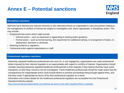### **Annex E – Potential sanctions**



#### **Disciplinary sanctions**

Staff who fail to disclose any relevant interests or who otherwise breach an organisation's rules and policies relating to the management of conflicts of interest are subject to investigation and, where appropriate, to disciplinary action. This may include:

- Employment law action which might include:
	- Informal action such as reprimand or signposting to training and/or guidance.
	- Formal action such as formal warning, the requirement for additional training, re-arrangement of duties, redeployment, demotion or dismissal.
- Referring incidents to regulators.
- Contractual action against organisations or staff.

#### **Professional regulatory sanctions**

Statutorily regulated healthcare professionals who work for, or are engaged by, organisations are under professional duties imposed by their relevant regulator to act appropriately with regard to conflicts of interest. Organisations should consider reporting statutorily regulated healthcare professionals to their regulator if they believe that they have acted improperly, so that these concerns can be investigated. These healthcare professionals should be made aware that the consequences for inappropriate action could include fitness to practise proceedings being brought against them, and that they could, if appropriate be struck off by their professional regulator as a result.

Information and contact details for the healthcare professional regulators are accessible from the Professional Standard Authority website:

<http://www.professionalstandards.org.uk/what-we-do/our-work-with-regulators/find-a-regulator>